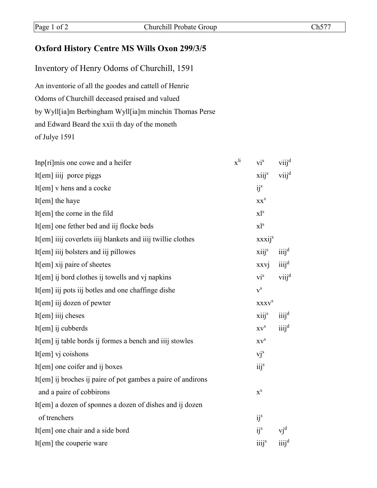## **Oxford History Centre MS Wills Oxon 299/3/5**

Inventory of Henry Odoms of Churchill, 1591 An inventorie of all the goodes and cattell of Henrie Odoms of Churchill deceased praised and valued by Wyll[ia]m Berbingham Wyll[ia]m minchin Thomas Perse and Edward Beard the xxii th day of the moneth of Julye 1591

| Inp[ri]mis one cowe and a heifer                             | $x^{li}$ vi <sup>s</sup> viij <sup>d</sup> |                               |
|--------------------------------------------------------------|--------------------------------------------|-------------------------------|
| It[em] iiij porce piggs                                      | $xiijs$ viij <sup>d</sup>                  |                               |
| It[em] v hens and a cocke                                    | i j <sup>s</sup>                           |                               |
| It[em] the haye                                              | XX <sup>S</sup>                            |                               |
| It[ $em$ ] the corne in the fild                             | $x1^s$                                     |                               |
| It[em] one fether bed and iij flocke beds                    | $x1^s$                                     |                               |
| It[em] iiij coverlets iiij blankets and iiij twillie clothes | xxxij <sup>s</sup>                         |                               |
| It[em] iiij bolsters and iij pillowes                        | $xiii^s$                                   | $\ddot{1}$                    |
| It[em] xij paire of sheetes                                  | xxvj                                       | $\ddot{\mathbf{u}}$           |
| It[em] ij bord clothes ij towells and vj napkins             | $\mathbf{vi}^{\rm s}$                      | $viii^d$                      |
| It[em] iij pots iij botles and one chaffinge dishe           | ${\bf v}^{\rm s}$                          |                               |
| It[em] iij dozen of pewter                                   | <b>XXXV</b> <sup>S</sup>                   |                               |
| It[em] iiij cheses                                           | $xiii^s$                                   | $\ddot{\rm iii}$ <sup>d</sup> |
| It[em] ij cubberds                                           | $\mathrm{X}\mathrm{V}^\mathrm{S}$          | $iii^d$                       |
| It[em] ij table bords ij formes a bench and iiij stowles     | $XV^S$                                     |                               |
| It[em] vj coishons                                           | $vj^s$                                     |                               |
| It[em] one coifer and ij boxes                               | iij <sup>s</sup>                           |                               |
| It[em] ij broches ij paire of pot gambes a paire of andirons |                                            |                               |
| and a paire of cobbirons                                     | $\mathbf{x}^{\rm s}$                       |                               |
| It[em] a dozen of sponnes a dozen of dishes and ij dozen     |                                            |                               |
| of trenchers                                                 | ij <sup>s</sup>                            |                               |
| It[em] one chair and a side bord                             | ij <sup>s</sup>                            | $vj^d$                        |
| It[em] the couperie ware                                     | iiij <sup>s</sup>                          | iiij <sup>d</sup>             |